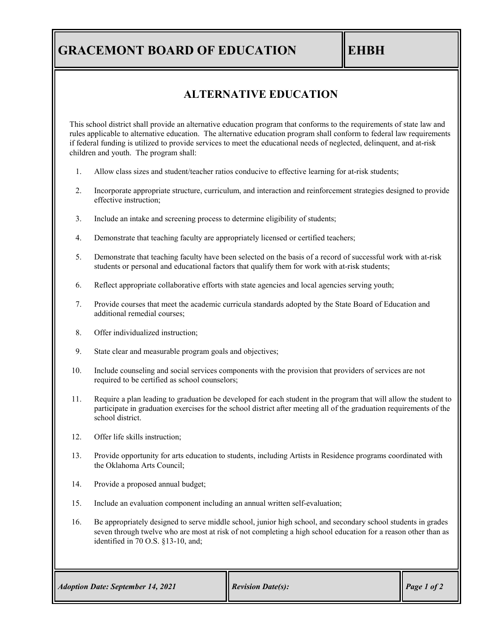# **GRACEMONT BOARD OF EDUCATION EHBH**

### **ALTERNATIVE EDUCATION**

This school district shall provide an alternative education program that conforms to the requirements of state law and rules applicable to alternative education. The alternative education program shall conform to federal law requirements if federal funding is utilized to provide services to meet the educational needs of neglected, delinquent, and at-risk children and youth. The program shall:

- 1. Allow class sizes and student/teacher ratios conducive to effective learning for at-risk students;
- 2. Incorporate appropriate structure, curriculum, and interaction and reinforcement strategies designed to provide effective instruction;
- 3. Include an intake and screening process to determine eligibility of students;
- 4. Demonstrate that teaching faculty are appropriately licensed or certified teachers;
- 5. Demonstrate that teaching faculty have been selected on the basis of a record of successful work with at-risk students or personal and educational factors that qualify them for work with at-risk students;
- 6. Reflect appropriate collaborative efforts with state agencies and local agencies serving youth;
- 7. Provide courses that meet the academic curricula standards adopted by the State Board of Education and additional remedial courses;
- 8. Offer individualized instruction;
- 9. State clear and measurable program goals and objectives;
- 10. Include counseling and social services components with the provision that providers of services are not required to be certified as school counselors;
- 11. Require a plan leading to graduation be developed for each student in the program that will allow the student to participate in graduation exercises for the school district after meeting all of the graduation requirements of the school district.
- 12. Offer life skills instruction;
- 13. Provide opportunity for arts education to students, including Artists in Residence programs coordinated with the Oklahoma Arts Council;
- 14. Provide a proposed annual budget;
- 15. Include an evaluation component including an annual written self-evaluation;
- 16. Be appropriately designed to serve middle school, junior high school, and secondary school students in grades seven through twelve who are most at risk of not completing a high school education for a reason other than as identified in 70 O.S. §13-10, and;